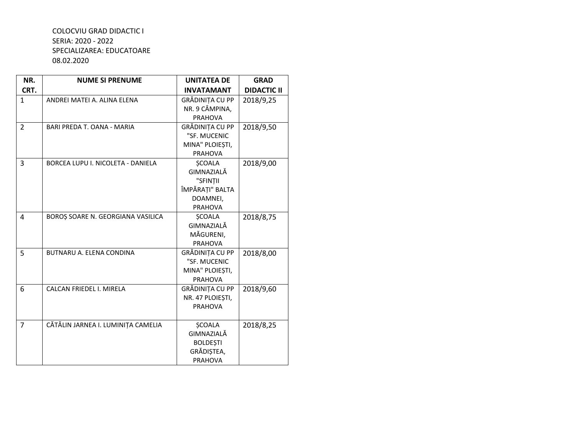| NR.            | <b>NUME SI PRENUME</b>                   | <b>UNITATEA DE</b> | <b>GRAD</b>        |
|----------------|------------------------------------------|--------------------|--------------------|
| CRT.           |                                          | <b>INVATAMANT</b>  | <b>DIDACTIC II</b> |
| 1              | ANDREI MATEI A. ALINA ELENA              | GRĂDINIȚA CU PP    | 2018/9,25          |
|                |                                          | NR. 9 CÂMPINA,     |                    |
|                |                                          | <b>PRAHOVA</b>     |                    |
| $\overline{2}$ | BARI PREDA T. OANA - MARIA               | GRĂDINIȚA CU PP    | 2018/9,50          |
|                |                                          | "SF. MUCENIC       |                    |
|                |                                          | MINA" PLOIESTI,    |                    |
|                |                                          | <b>PRAHOVA</b>     |                    |
| 3              | <b>BORCEA LUPU I. NICOLETA - DANIELA</b> | <b>SCOALA</b>      | 2018/9,00          |
|                |                                          | GIMNAZIALĂ         |                    |
|                |                                          | "SFINȚII           |                    |
|                |                                          | ÎMPĂRAȚI" BALTA    |                    |
|                |                                          | DOAMNEI,           |                    |
|                |                                          | PRAHOVA            |                    |
| 4              | BOROȘ SOARE N. GEORGIANA VASILICA        | <b>SCOALA</b>      | 2018/8,75          |
|                |                                          | GIMNAZIALĂ         |                    |
|                |                                          | MĂGURENI,          |                    |
|                |                                          | <b>PRAHOVA</b>     |                    |
| 5              | BUTNARU A. ELENA CONDINA                 | GRĂDINIȚA CU PP    | 2018/8,00          |
|                |                                          | "SF. MUCENIC       |                    |
|                |                                          | MINA" PLOIESTI,    |                    |
|                |                                          | <b>PRAHOVA</b>     |                    |
| 6              | CALCAN FRIEDEL I. MIRELA                 | GRĂDINIȚA CU PP    | 2018/9,60          |
|                |                                          | NR. 47 PLOIEȘTI,   |                    |
|                |                                          | <b>PRAHOVA</b>     |                    |
|                |                                          |                    |                    |
| $\overline{7}$ | CĂTĂLIN JARNEA I. LUMINIȚA CAMELIA       | <b>SCOALA</b>      | 2018/8,25          |
|                |                                          | GIMNAZIALĂ         |                    |
|                |                                          | <b>BOLDEȘTI</b>    |                    |
|                |                                          | GRĂDIȘTEA,         |                    |
|                |                                          | <b>PRAHOVA</b>     |                    |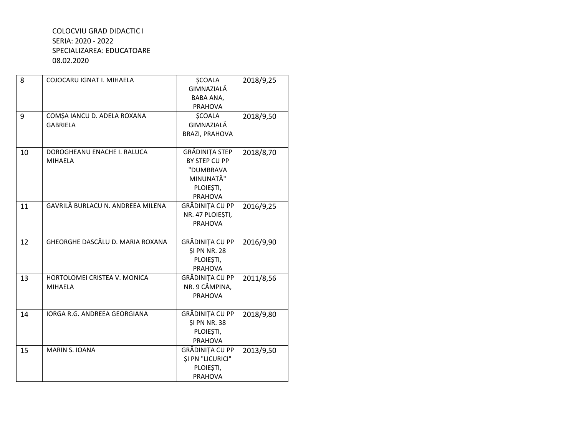| 8  | COJOCARU IGNAT I. MIHAELA         | <b>SCOALA</b>           | 2018/9,25 |
|----|-----------------------------------|-------------------------|-----------|
|    |                                   | GIMNAZIALĂ              |           |
|    |                                   | BABA ANA,               |           |
|    |                                   | <b>PRAHOVA</b>          |           |
| 9  | COMȘA IANCU D. ADELA ROXANA       | <b>SCOALA</b>           | 2018/9,50 |
|    | <b>GABRIELA</b>                   | GIMNAZIALĂ              |           |
|    |                                   | <b>BRAZI, PRAHOVA</b>   |           |
|    |                                   |                         |           |
| 10 | DOROGHEANU ENACHE I. RALUCA       | GRĂDINIȚA STEP          | 2018/8,70 |
|    | <b>MIHAELA</b>                    | BY STEP CU PP           |           |
|    |                                   | "DUMBRAVA               |           |
|    |                                   | MINUNATĂ"               |           |
|    |                                   | PLOIEȘTI,               |           |
|    |                                   | <b>PRAHOVA</b>          |           |
| 11 | GAVRILĂ BURLACU N. ANDREEA MILENA | GRĂDINIȚA CU PP         | 2016/9,25 |
|    |                                   | NR. 47 PLOIESTI,        |           |
|    |                                   | <b>PRAHOVA</b>          |           |
|    |                                   |                         |           |
| 12 | GHEORGHE DASCĂLU D. MARIA ROXANA  | GRĂDINIȚA CU PP         | 2016/9,90 |
|    |                                   | <b>\$I PN NR. 28</b>    |           |
|    |                                   | PLOIESTI,               |           |
|    |                                   | <b>PRAHOVA</b>          |           |
| 13 | HORTOLOMEI CRISTEA V. MONICA      | GRĂDINIȚA CU PP         | 2011/8,56 |
|    | <b>MIHAELA</b>                    | NR. 9 CÂMPINA,          |           |
|    |                                   | <b>PRAHOVA</b>          |           |
|    |                                   |                         |           |
| 14 | IORGA R.G. ANDREEA GEORGIANA      | GRĂDINIȚA CU PP         | 2018/9,80 |
|    |                                   | <b>\$I PN NR. 38</b>    |           |
|    |                                   | PLOIEȘTI,               |           |
|    |                                   | PRAHOVA                 |           |
| 15 | <b>MARIN S. IOANA</b>             | GRĂDINIȚA CU PP         | 2013/9,50 |
|    |                                   | <b>ŞI PN "LICURICI"</b> |           |
|    |                                   | PLOIEȘTI,               |           |
|    |                                   | <b>PRAHOVA</b>          |           |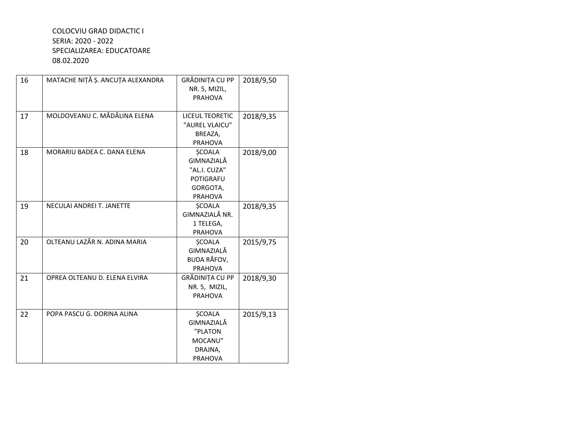| 16 | MATACHE NIȚĂ Ș. ANCUȚA ALEXANDRA | GRĂDINIȚA CU PP<br>NR. 5, MIZIL,<br><b>PRAHOVA</b>                                            | 2018/9,50 |
|----|----------------------------------|-----------------------------------------------------------------------------------------------|-----------|
| 17 | MOLDOVEANU C. MĂDĂLINA ELENA     | <b>LICEUL TEORETIC</b><br>"AUREL VLAICU"<br>BREAZA,<br><b>PRAHOVA</b>                         | 2018/9,35 |
| 18 | MORARIU BADEA C. DANA ELENA      | <b>ŞCOALA</b><br>GIMNAZIALĂ<br>"AL.I. CUZA"<br><b>POTIGRAFU</b><br>GORGOTA,<br><b>PRAHOVA</b> | 2018/9,00 |
| 19 | NECULAI ANDREI T. JANETTE        | <b>ŞCOALA</b><br>GIMNAZIALĂ NR.<br>1 TELEGA,<br><b>PRAHOVA</b>                                | 2018/9,35 |
| 20 | OLTEANU LAZĂR N. ADINA MARIA     | <b>SCOALA</b><br>GIMNAZIALĂ<br><b>BUDA RÂFOV,</b><br><b>PRAHOVA</b>                           | 2015/9,75 |
| 21 | OPREA OLTEANU D. ELENA ELVIRA    | GRĂDINIȚA CU PP<br>NR. 5, MIZIL,<br><b>PRAHOVA</b>                                            | 2018/9,30 |
| 22 | POPA PASCU G. DORINA ALINA       | <b>ŞCOALA</b><br>GIMNAZIALĂ<br>"PLATON<br>MOCANU"<br>DRAJNA,<br><b>PRAHOVA</b>                | 2015/9,13 |